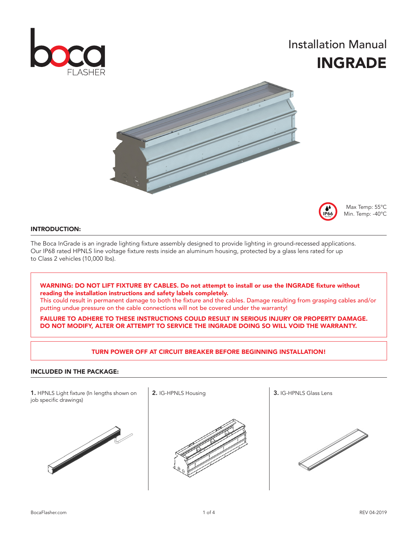

## Installation Manual INGRADE





Max Temp: 55°C Min. Temp: -40°C

## INTRODUCTION:

The Boca InGrade is an ingrade lighting fixture assembly designed to provide lighting in ground-recessed applications. Our IP68 rated HPNLS line voltage fixture rests inside an aluminum housing, protected by a glass lens rated for up to Class 2 vehicles (10,000 lbs).

WARNING: DO NOT LIFT FIXTURE BY CABLES. Do not attempt to install or use the INGRADE fixture without reading the installation instructions and safety labels completely.

This could result in permanent damage to both the fixture and the cables. Damage resulting from grasping cables and/or putting undue pressure on the cable connections will not be covered under the warranty!

FAILURE TO ADHERE TO THESE INSTRUCTIONS COULD RESULT IN SERIOUS INJURY OR PROPERTY DAMAGE. DO NOT MODIFY, ALTER OR ATTEMPT TO SERVICE THE INGRADE DOING SO WILL VOID THE WARRANTY.

## TURN POWER OFF AT CIRCUIT BREAKER BEFORE BEGINNING INSTALLATION!

#### INCLUDED IN THE PACKAGE:

1. HPNLS Light fixture (In lengths shown on  $\begin{array}{|l|} 2.1$  IG-HPNLS Housing  $\end{array}$  3. IG-HPNLS Glass Lens job specific drawings)





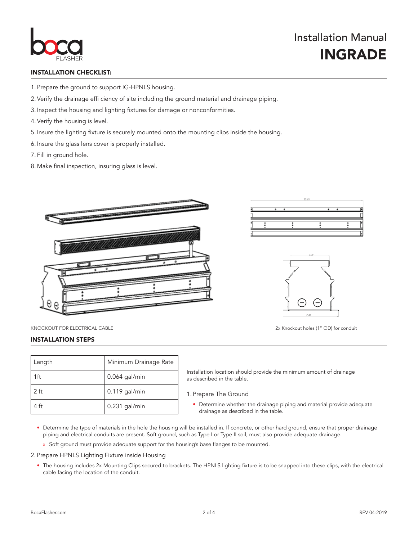

## INSTALLATION CHECKLIST:

- 1. Prepare the ground to support IG-HPNLS housing.
- 2. Verify the drainage effi ciency of site including the ground material and drainage piping.
- 3. Inspect the housing and lighting fixtures for damage or nonconformities.
- 4. Verify the housing is level.
- 5. Insure the lighting fixture is securely mounted onto the mounting clips inside the housing.
- 6. Insure the glass lens cover is properly installed.
- 7. Fill in ground hole.
- 8. Make final inspection, insuring glass is level.







KNOCKOUT FOR ELECTRICAL CABLE 2x Knockout holes (1" OD) for conduit

## INSTALLATION STEPS

| Length          | Minimum Drainage Rate |
|-----------------|-----------------------|
| 1ft             | $0.064$ gal/min       |
| 2 <sub>ft</sub> | $0.119$ gal/min       |
| 4 ft            | 0.231 gal/min         |

Installation location should provide the minimum amount of drainage as described in the table.

- 1. Prepare The Ground
	- Determine whether the drainage piping and material provide adequate drainage as described in the table.
- Determine the type of materials in the hole the housing will be installed in. If concrete, or other hard ground, ensure that proper drainage piping and electrical conduits are present. Soft ground, such as Type I or Type II soil, must also provide adequate drainage.
	- » Soft ground must provide adequate support for the housing's base flanges to be mounted.

2. Prepare HPNLS Lighting Fixture inside Housing

• The housing includes 2x Mounting Clips secured to brackets. The HPNLS lighting fixture is to be snapped into these clips, with the electrical cable facing the location of the conduit.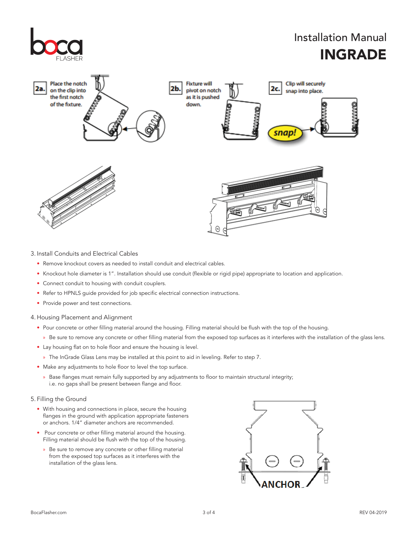

## 3. Install Conduits and Electrical Cables

- Remove knockout covers as needed to install conduit and electrical cables.
- Knockout hole diameter is 1". Installation should use conduit (flexible or rigid pipe) appropriate to location and application.
- Connect conduit to housing with conduit couplers.
- Refer to HPNLS guide provided for job specific electrical connection instructions.
- Provide power and test connections.
- 4. Housing Placement and Alignment
	- Pour concrete or other filling material around the housing. Filling material should be flush with the top of the housing.
		- » Be sure to remove any concrete or other filling material from the exposed top surfaces as it interferes with the installation of the glass lens.
	- Lay housing flat on to hole floor and ensure the housing is level.
		- » The InGrade Glass Lens may be installed at this point to aid in leveling. Refer to step 7.
	- Make any adjustments to hole floor to level the top surface.
		- » Base flanges must remain fully supported by any adjustments to floor to maintain structural integrity; i.e. no gaps shall be present between flange and floor.

#### 5. Filling the Ground

- With housing and connections in place, secure the housing flanges in the ground with application appropriate fasteners or anchors. 1/4" diameter anchors are recommended.
- Pour concrete or other filling material around the housing. Filling material should be flush with the top of the housing.
	- » Be sure to remove any concrete or other filling material from the exposed top surfaces as it interferes with the installation of the glass lens.